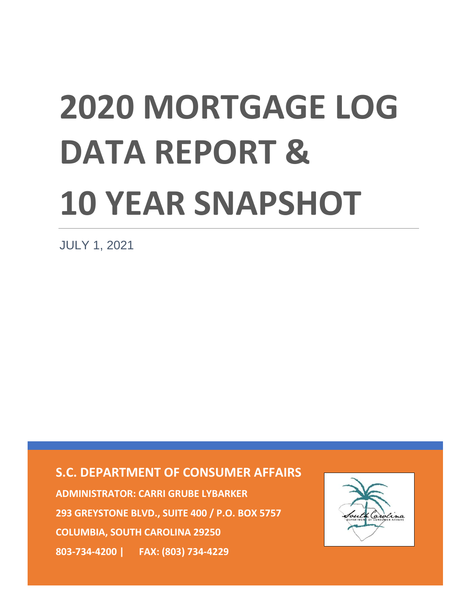# **2020 MORTGAGE LOG DATA REPORT & 10 YEAR SNAPSHOT**

JULY 1, 2021

**S.C. DEPARTMENT OF CONSUMER AFFAIRS**

**ADMINISTRATOR: CARRI GRUBE LYBARKER 293 GREYSTONE BLVD., SUITE 400 / P.O. BOX 5757 COLUMBIA, SOUTH CAROLINA 29250 803-734-4200 | FAX: (803) 734-4229**

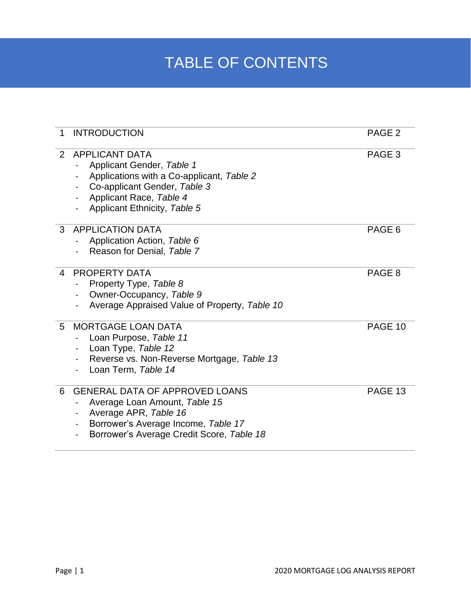## TABLE OF CONTENTS

| 1 | <b>INTRODUCTION</b>                                                                                                                                                                                                                                                   | PAGE <sub>2</sub> |
|---|-----------------------------------------------------------------------------------------------------------------------------------------------------------------------------------------------------------------------------------------------------------------------|-------------------|
| 2 | <b>APPLICANT DATA</b><br>Applicant Gender, Table 1<br>Applications with a Co-applicant, Table 2<br>Co-applicant Gender, Table 3<br>$\blacksquare$<br>Applicant Race, Table 4<br>Applicant Ethnicity, Table 5                                                          | PAGE <sub>3</sub> |
| 3 | <b>APPLICATION DATA</b><br>Application Action, Table 6<br>Reason for Denial, Table 7                                                                                                                                                                                  | PAGE 6            |
| 4 | <b>PROPERTY DATA</b><br>Property Type, Table 8<br>Owner-Occupancy, Table 9<br>Average Appraised Value of Property, Table 10                                                                                                                                           | PAGE <sub>8</sub> |
| 5 | <b>MORTGAGE LOAN DATA</b><br>Loan Purpose, Table 11<br>Loan Type, Table 12<br>Reverse vs. Non-Reverse Mortgage, Table 13<br>Loan Term, Table 14                                                                                                                       | PAGE 10           |
| 6 | <b>GENERAL DATA OF APPROVED LOANS</b><br>Average Loan Amount, Table 15<br>Average APR, Table 16<br>$\blacksquare$<br>Borrower's Average Income, Table 17<br>$\qquad \qquad \blacksquare$<br>Borrower's Average Credit Score, Table 18<br>$\qquad \qquad \blacksquare$ | PAGE 13           |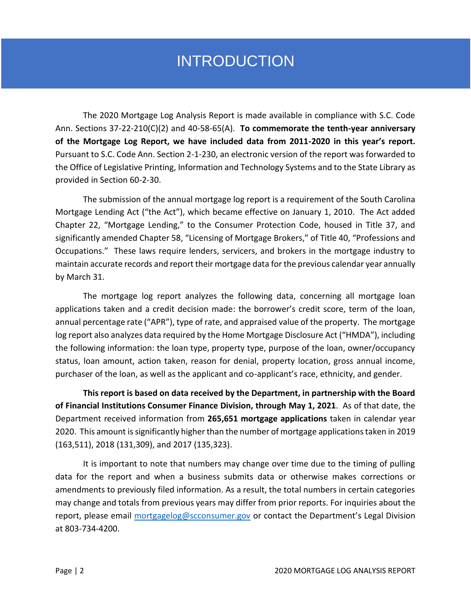## INTRODUCTION

The 2020 Mortgage Log Analysis Report is made available in compliance with S.C. Code Ann. Sections 37-22-210(C)(2) and 40-58-65(A). **To commemorate the tenth-year anniversary of the Mortgage Log Report, we have included data from 2011-2020 in this year's report.** Pursuant to S.C. Code Ann. Section 2-1-230, an electronic version of the report was forwarded to the Office of Legislative Printing, Information and Technology Systems and to the State Library as provided in Section 60-2-30.

The submission of the annual mortgage log report is a requirement of the South Carolina Mortgage Lending Act ("the Act"), which became effective on January 1, 2010. The Act added Chapter 22, "Mortgage Lending," to the Consumer Protection Code, housed in Title 37, and significantly amended Chapter 58, "Licensing of Mortgage Brokers," of Title 40, "Professions and Occupations." These laws require lenders, servicers, and brokers in the mortgage industry to maintain accurate records and report their mortgage data for the previous calendar year annually by March 31.

The mortgage log report analyzes the following data, concerning all mortgage loan applications taken and a credit decision made: the borrower's credit score, term of the loan, annual percentage rate ("APR"), type of rate, and appraised value of the property. The mortgage log report also analyzes data required by the Home Mortgage Disclosure Act ("HMDA"), including the following information: the loan type, property type, purpose of the loan, owner/occupancy status, loan amount, action taken, reason for denial, property location, gross annual income, purchaser of the loan, as well as the applicant and co-applicant's race, ethnicity, and gender.

**This report is based on data received by the Department, in partnership with the Board of Financial Institutions Consumer Finance Division, through May 1, 2021**. As of that date, the Department received information from **265,651 mortgage applications** taken in calendar year 2020. This amount is significantly higher than the number of mortgage applications taken in 2019 (163,511), 2018 (131,309), and 2017 (135,323).

It is important to note that numbers may change over time due to the timing of pulling data for the report and when a business submits data or otherwise makes corrections or amendments to previously filed information. As a result, the total numbers in certain categories may change and totals from previous years may differ from prior reports. For inquiries about the report, please email [mortgagelog@scconsumer.gov](mailto:mortgagelog@scconsumer.gov) or contact the Department's Legal Division at 803-734-4200.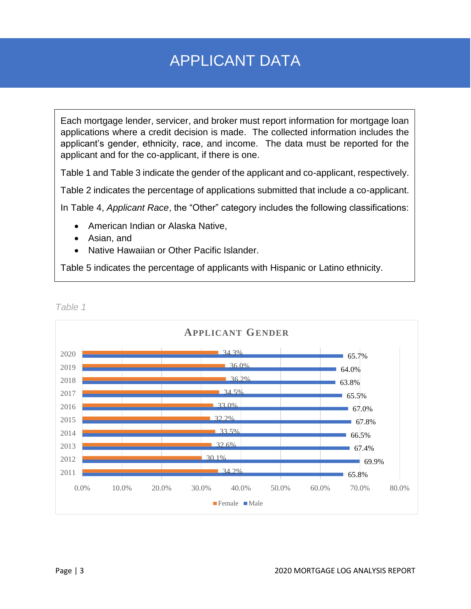## APPLICANT DATA

Each mortgage lender, servicer, and broker must report information for mortgage loan applications where a credit decision is made. The collected information includes the applicant's gender, ethnicity, race, and income. The data must be reported for the applicant and for the co-applicant, if there is one.

Table 1 and Table 3 indicate the gender of the applicant and co-applicant, respectively.

Table 2 indicates the percentage of applications submitted that include a co-applicant.

In Table 4, *Applicant Race*, the "Other" category includes the following classifications:

- American Indian or Alaska Native,
- Asian, and
- Native Hawaiian or Other Pacific Islander.

Table 5 indicates the percentage of applicants with Hispanic or Latino ethnicity.

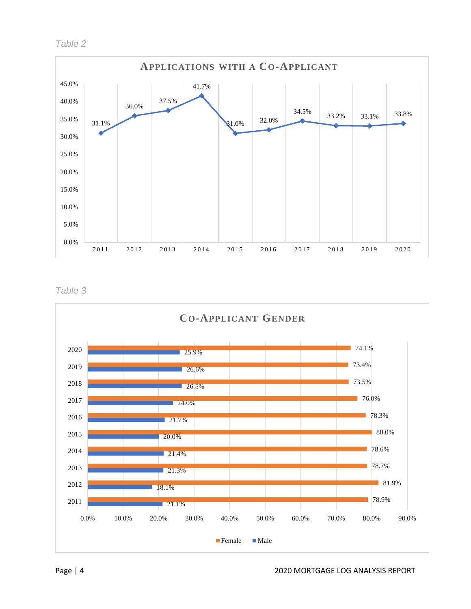

*Table 3*

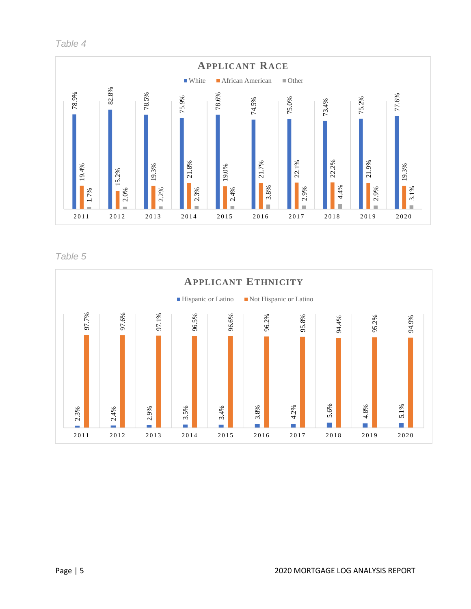*Table 4*



Table 5

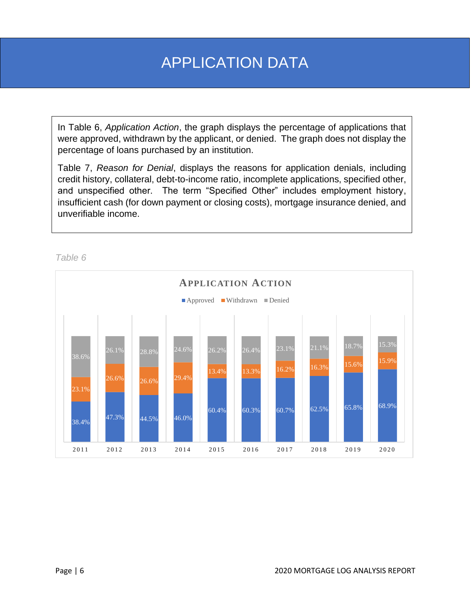## APPLICATION DATA

In Table 6, *Application Action*, the graph displays the percentage of applications that were approved, withdrawn by the applicant, or denied. The graph does not display the percentage of loans purchased by an institution.

Table 7, *Reason for Denial*, displays the reasons for application denials, including credit history, collateral, debt-to-income ratio, incomplete applications, specified other, and unspecified other. The term "Specified Other" includes employment history, insufficient cash (for down payment or closing costs), mortgage insurance denied, and unverifiable income.

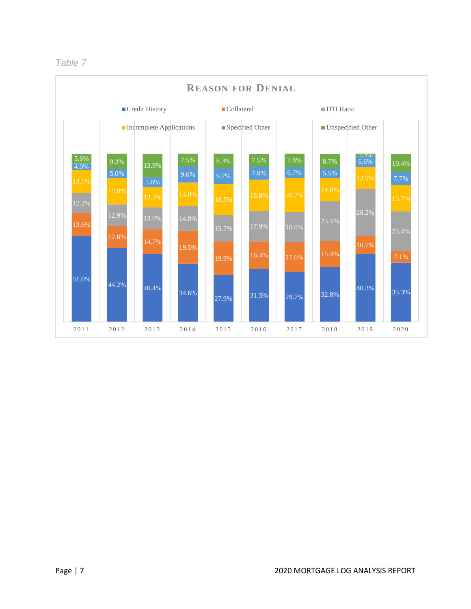

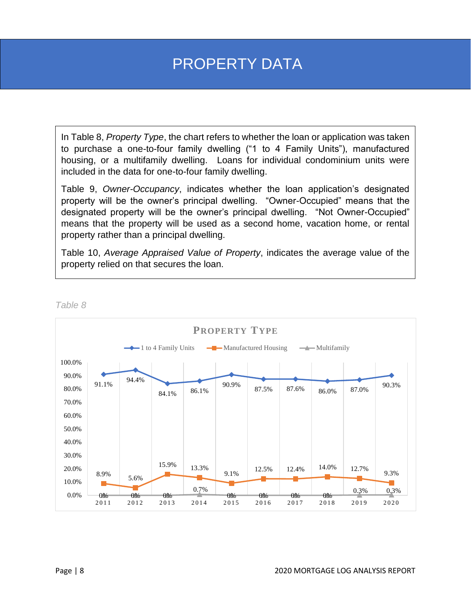## PROPERTY DATA

In Table 8, *Property Type*, the chart refers to whether the loan or application was taken to purchase a one-to-four family dwelling ("1 to 4 Family Units"), manufactured housing, or a multifamily dwelling. Loans for individual condominium units were included in the data for one-to-four family dwelling.

Table 9, *Owner-Occupancy*, indicates whether the loan application's designated property will be the owner's principal dwelling. "Owner-Occupied" means that the designated property will be the owner's principal dwelling. "Not Owner-Occupied" means that the property will be used as a second home, vacation home, or rental property rather than a principal dwelling.

Table 10, *Average Appraised Value of Property*, indicates the average value of the property relied on that secures the loan.

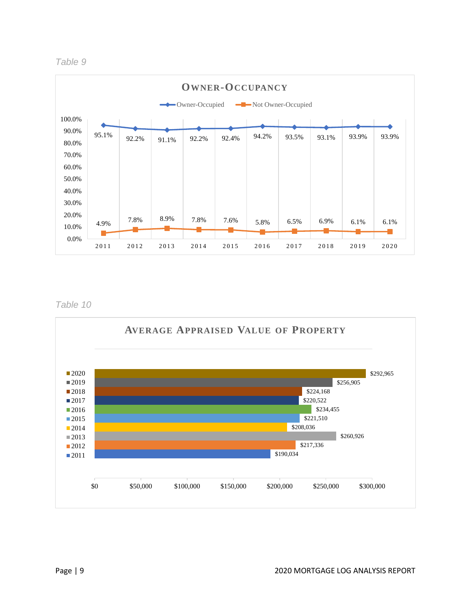



*Table 10*

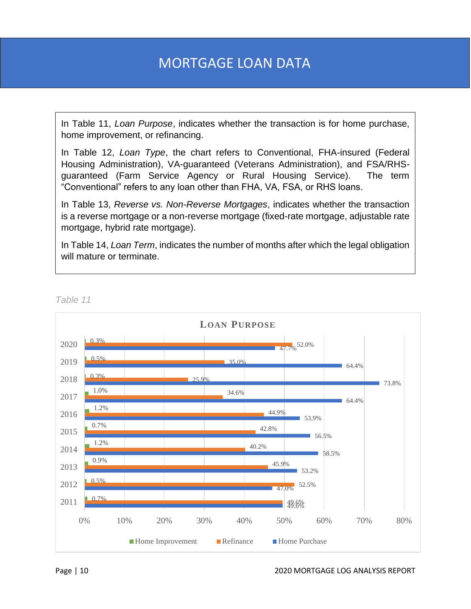## MORTGAGE LOAN DATA

In Table 11, *Loan Purpose*, indicates whether the transaction is for home purchase, home improvement, or refinancing.

In Table 12, *Loan Type*, the chart refers to Conventional, FHA-insured (Federal Housing Administration), VA-guaranteed (Veterans Administration), and FSA/RHSguaranteed (Farm Service Agency or Rural Housing Service). The term "Conventional" refers to any loan other than FHA, VA, FSA, or RHS loans.

In Table 13, *Reverse vs. Non-Reverse Mortgages*, indicates whether the transaction is a reverse mortgage or a non-reverse mortgage (fixed-rate mortgage, adjustable rate mortgage, hybrid rate mortgage).

In Table 14, *Loan Term*, indicates the number of months after which the legal obligation will mature or terminate.



*Table 11*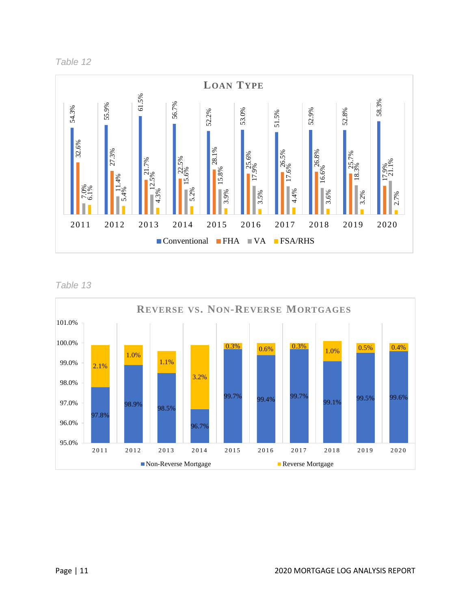



Table 13

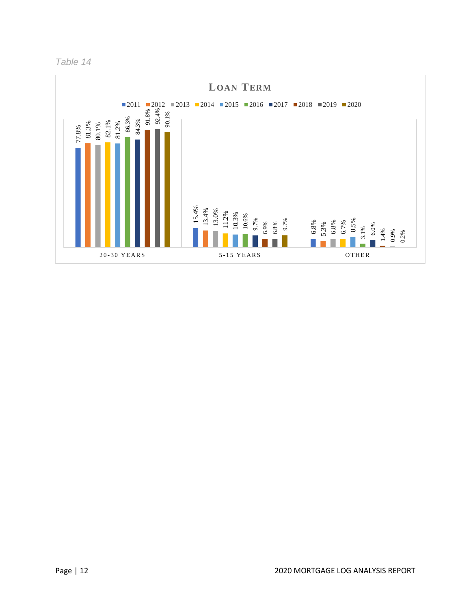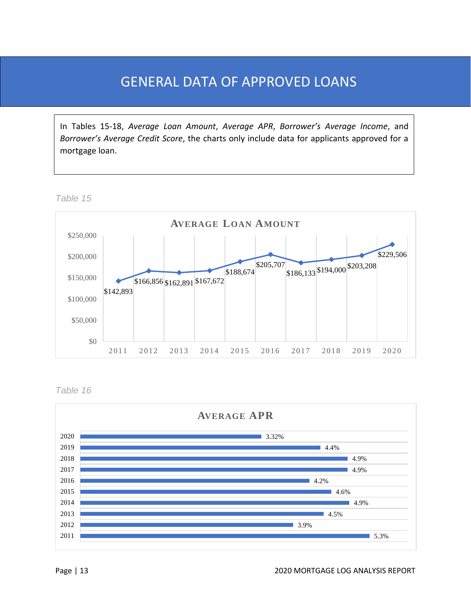### GENERAL DATA OF APPROVED LOANS

In Tables 15-18, *Average Loan Amount*, *Average APR*, *Borrower's Average Income*, and *Borrower's Average Credit Score*, the charts only include data for applicants approved for a mortgage loan.

*Table 15*



*Table 16*